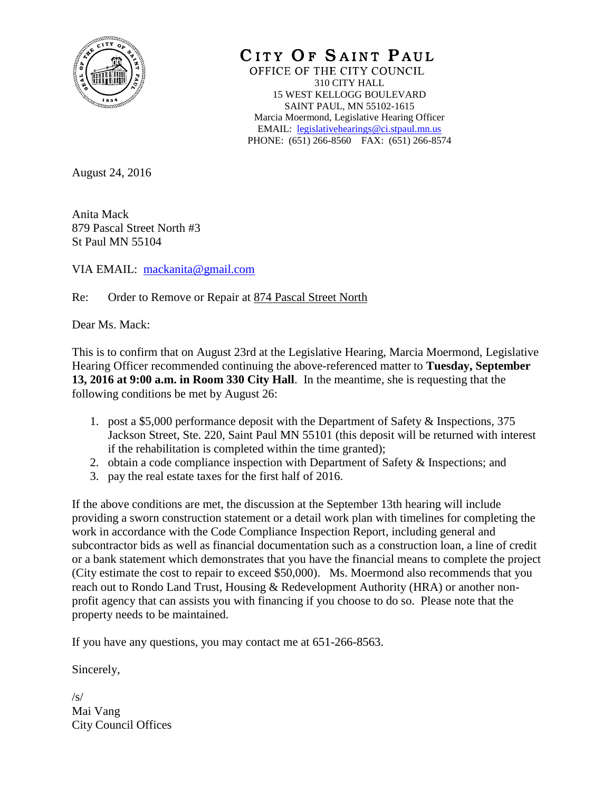

CITY OF SAINT PAUL OFFICE OF THE CITY COUNCIL 310 CITY HALL 15 WEST KELLOGG BOULEVARD SAINT PAUL, MN 55102-1615 Marcia Moermond, Legislative Hearing Officer EMAIL: [legislativehearings@ci.stpaul.mn.us](mailto:legislativehearings@ci.stpaul.mn.us) PHONE: (651) 266-8560 FAX: (651) 266-8574

August 24, 2016

Anita Mack 879 Pascal Street North #3 St Paul MN 55104

VIA EMAIL: [mackanita@gmail.com](mailto:mackanita@gmail.com)

Re: Order to Remove or Repair at 874 Pascal Street North

Dear Ms. Mack:

This is to confirm that on August 23rd at the Legislative Hearing, Marcia Moermond, Legislative Hearing Officer recommended continuing the above-referenced matter to **Tuesday, September 13, 2016 at 9:00 a.m. in Room 330 City Hall**. In the meantime, she is requesting that the following conditions be met by August 26:

- 1. post a \$5,000 performance deposit with the Department of Safety & Inspections, 375 Jackson Street, Ste. 220, Saint Paul MN 55101 (this deposit will be returned with interest if the rehabilitation is completed within the time granted);
- 2. obtain a code compliance inspection with Department of Safety & Inspections; and
- 3. pay the real estate taxes for the first half of 2016.

If the above conditions are met, the discussion at the September 13th hearing will include providing a sworn construction statement or a detail work plan with timelines for completing the work in accordance with the Code Compliance Inspection Report, including general and subcontractor bids as well as financial documentation such as a construction loan, a line of credit or a bank statement which demonstrates that you have the financial means to complete the project (City estimate the cost to repair to exceed \$50,000). Ms. Moermond also recommends that you reach out to Rondo Land Trust, Housing & Redevelopment Authority (HRA) or another nonprofit agency that can assists you with financing if you choose to do so. Please note that the property needs to be maintained.

If you have any questions, you may contact me at 651-266-8563.

Sincerely,

 $/s/$ Mai Vang City Council Offices